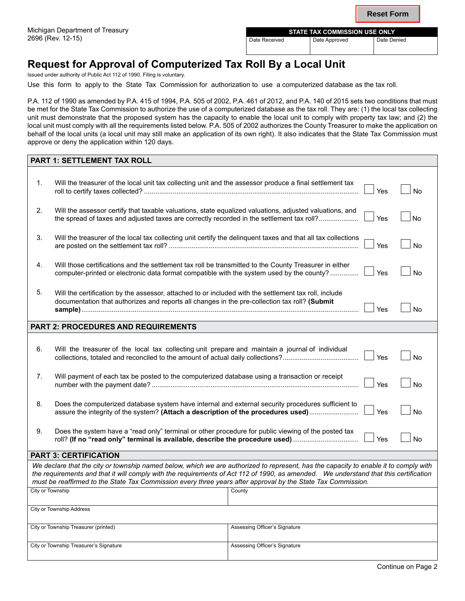| <b>STATE TAX COMMISSION USE ONLY</b> |               |             |  |  |
|--------------------------------------|---------------|-------------|--|--|
| Date Received                        | Date Approved | Date Denied |  |  |

# **Request for Approval of Computerized Tax Roll By a Local Unit**

Issued under authority of Public Act 112 of 1990. Filing is voluntary.

Use this form to apply to the State Tax Commission for authorization to use a computerized database as the tax roll.

P.A. 112 of 1990 as amended by P.A. 415 of 1994, P.A. 505 of 2002, P.A. 461 of 2012, and P.A. 140 of 2015 sets two conditions that must be met for the State Tax Commission to authorize the use of a computerized database as the tax roll. They are: (1) the local tax collecting unit must demonstrate that the proposed system has the capacity to enable the local unit to comply with property tax law; and (2) the local unit must comply with all the requirements listed below. P.A. 505 of 2002 authorizes the County Treasurer to make the application on behalf of the local units (a local unit may still make an application of its own right). It also indicates that the State Tax Commission must approve or deny the application within 120 days.

| <b>PART 1: SETTLEMENT TAX ROLL</b>                                                                                                                                                                                                                                                                                                                                                           |                                                                                                                                                                                                                            |        |     |           |  |
|----------------------------------------------------------------------------------------------------------------------------------------------------------------------------------------------------------------------------------------------------------------------------------------------------------------------------------------------------------------------------------------------|----------------------------------------------------------------------------------------------------------------------------------------------------------------------------------------------------------------------------|--------|-----|-----------|--|
|                                                                                                                                                                                                                                                                                                                                                                                              |                                                                                                                                                                                                                            |        |     |           |  |
| 1.                                                                                                                                                                                                                                                                                                                                                                                           | Will the treasurer of the local unit tax collecting unit and the assessor produce a final settlement tax                                                                                                                   |        | Yes | <b>No</b> |  |
| 2.                                                                                                                                                                                                                                                                                                                                                                                           | Will the assessor certify that taxable valuations, state equalized valuations, adjusted valuations, and<br>the spread of taxes and adjusted taxes are correctly recorded in the settlement tax roll?                       |        |     | No        |  |
| 3.                                                                                                                                                                                                                                                                                                                                                                                           | Will the treasurer of the local tax collecting unit certify the delinquent taxes and that all tax collections                                                                                                              |        |     | <b>No</b> |  |
| 4.                                                                                                                                                                                                                                                                                                                                                                                           | Will those certifications and the settlement tax roll be transmitted to the County Treasurer in either<br>Yes<br>computer-printed or electronic data format compatible with the system used by the county?                 |        |     | <b>No</b> |  |
| 5.                                                                                                                                                                                                                                                                                                                                                                                           | Will the certification by the assessor, attached to or included with the settlement tax roll, include<br>documentation that authorizes and reports all changes in the pre-collection tax roll? (Submit<br>Yes<br><b>No</b> |        |     |           |  |
| <b>PART 2: PROCEDURES AND REQUIREMENTS</b>                                                                                                                                                                                                                                                                                                                                                   |                                                                                                                                                                                                                            |        |     |           |  |
|                                                                                                                                                                                                                                                                                                                                                                                              |                                                                                                                                                                                                                            |        |     |           |  |
| 6.                                                                                                                                                                                                                                                                                                                                                                                           | Will the treasurer of the local tax collecting unit prepare and maintain a journal of individual<br>Yes<br><b>No</b>                                                                                                       |        |     |           |  |
| 7.                                                                                                                                                                                                                                                                                                                                                                                           | Will payment of each tax be posted to the computerized database using a transaction or receipt<br>Yes<br><b>No</b>                                                                                                         |        |     |           |  |
| 8.                                                                                                                                                                                                                                                                                                                                                                                           | Does the computerized database system have internal and external security procedures sufficient to<br>Yes<br><b>No</b><br>assure the integrity of the system? (Attach a description of the procedures used)                |        |     |           |  |
| 9.                                                                                                                                                                                                                                                                                                                                                                                           | Does the system have a "read only" terminal or other procedure for public viewing of the posted tax<br>Yes<br>roll? (If no "read only" terminal is available, describe the procedure used)<br><b>No</b>                    |        |     |           |  |
| <b>PART 3: CERTIFICATION</b>                                                                                                                                                                                                                                                                                                                                                                 |                                                                                                                                                                                                                            |        |     |           |  |
| We declare that the city or township named below, which we are authorized to represent, has the capacity to enable it to comply with<br>the requirements and that it will comply with the requirements of Act 112 of 1990, as amended. We understand that this certification<br>must be reaffirmed to the State Tax Commission every three years after approval by the State Tax Commission. |                                                                                                                                                                                                                            |        |     |           |  |
| City or Township                                                                                                                                                                                                                                                                                                                                                                             |                                                                                                                                                                                                                            | County |     |           |  |
| City or Township Address                                                                                                                                                                                                                                                                                                                                                                     |                                                                                                                                                                                                                            |        |     |           |  |
|                                                                                                                                                                                                                                                                                                                                                                                              | City or Township Treasurer (printed)<br>Assessing Officer's Signature                                                                                                                                                      |        |     |           |  |
| Assessing Officer's Signature<br>City or Township Treasurer's Signature                                                                                                                                                                                                                                                                                                                      |                                                                                                                                                                                                                            |        |     |           |  |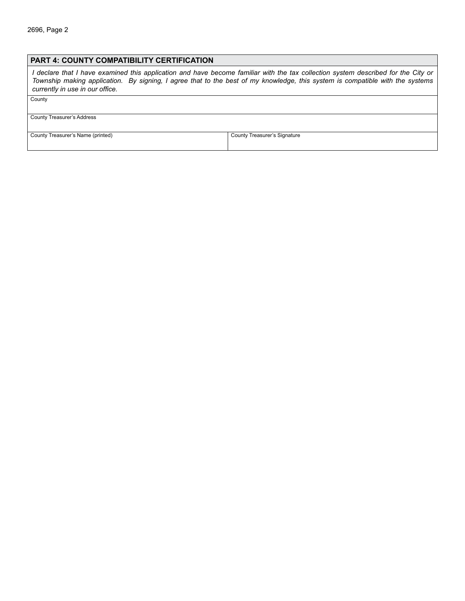#### **PART 4: COUNTY compatibility certification**

*I declare that I have examined this application and have become familiar with the tax collection system described for the City or Township making application. By signing, I agree that to the best of my knowledge, this system is compatible with the systems currently in use in our office.*

**County** 

County Treasurer's Address

County Treasurer's Name (printed) County Treasurer's Signature